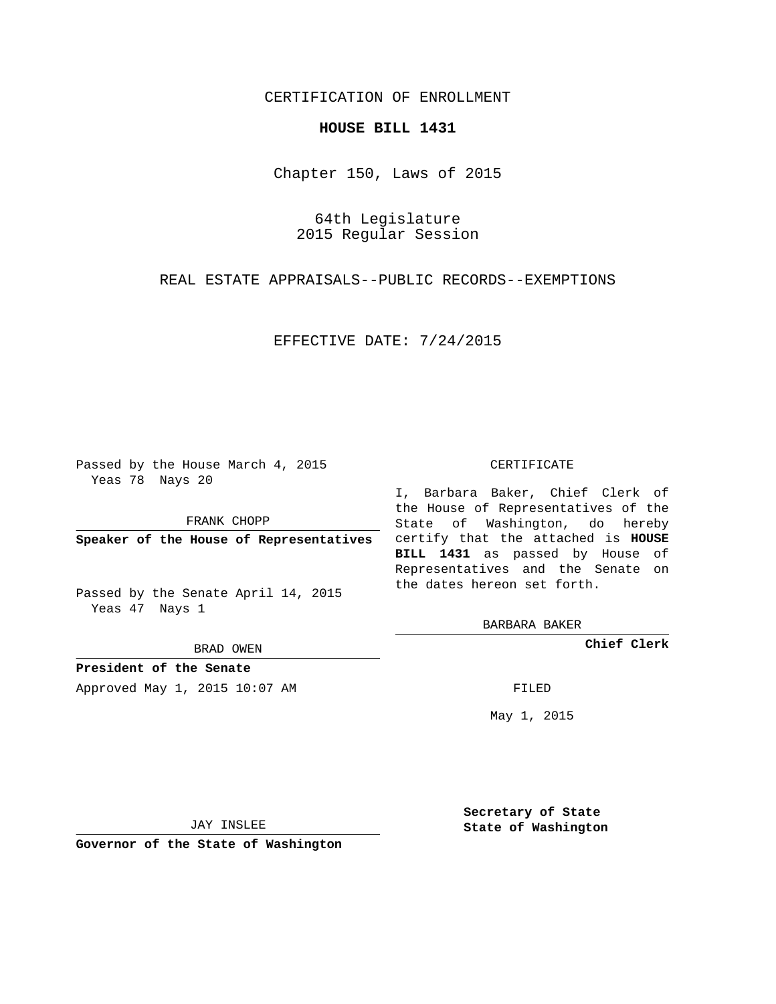## CERTIFICATION OF ENROLLMENT

## **HOUSE BILL 1431**

Chapter 150, Laws of 2015

64th Legislature 2015 Regular Session

REAL ESTATE APPRAISALS--PUBLIC RECORDS--EXEMPTIONS

EFFECTIVE DATE: 7/24/2015

Passed by the House March 4, 2015 Yeas 78 Nays 20

FRANK CHOPP

Passed by the Senate April 14, 2015 Yeas 47 Nays 1

BRAD OWEN

**President of the Senate**

Approved May 1, 2015 10:07 AM FILED

## CERTIFICATE

**Speaker of the House of Representatives** certify that the attached is **HOUSE** I, Barbara Baker, Chief Clerk of the House of Representatives of the State of Washington, do hereby **BILL 1431** as passed by House of Representatives and the Senate on the dates hereon set forth.

BARBARA BAKER

**Chief Clerk**

May 1, 2015

JAY INSLEE

**Governor of the State of Washington**

**Secretary of State State of Washington**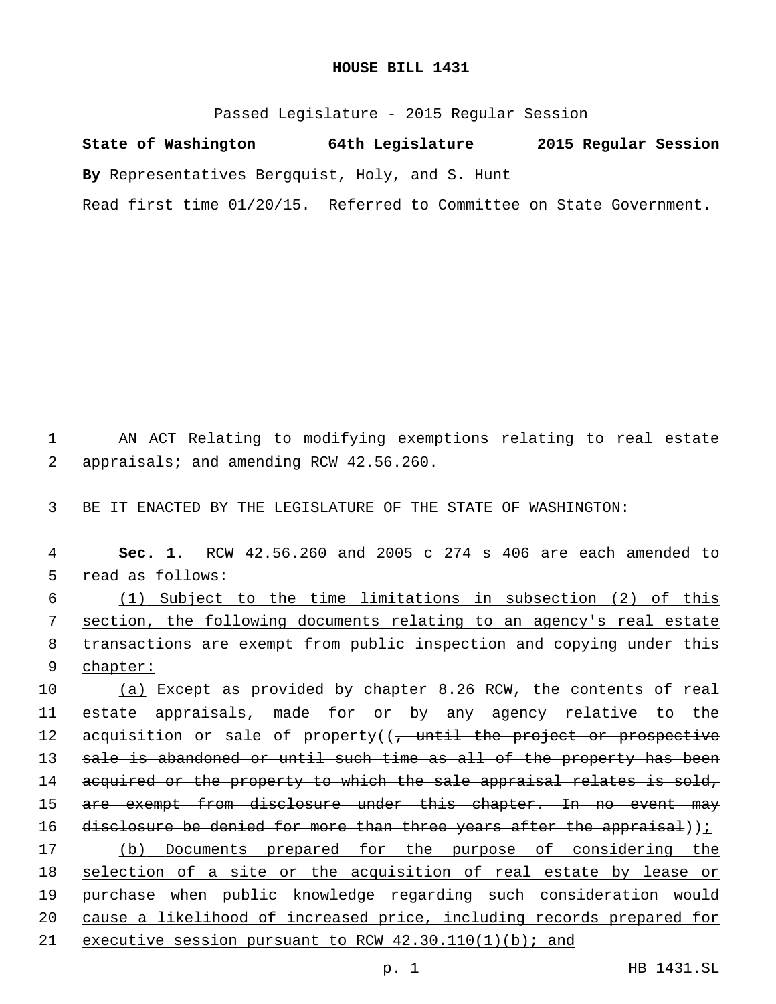## **HOUSE BILL 1431**

Passed Legislature - 2015 Regular Session

**State of Washington 64th Legislature 2015 Regular Session**

**By** Representatives Bergquist, Holy, and S. Hunt

Read first time 01/20/15. Referred to Committee on State Government.

1 AN ACT Relating to modifying exemptions relating to real estate 2 appraisals; and amending RCW 42.56.260.

3 BE IT ENACTED BY THE LEGISLATURE OF THE STATE OF WASHINGTON:

4 **Sec. 1.** RCW 42.56.260 and 2005 c 274 s 406 are each amended to 5 read as follows:

 (1) Subject to the time limitations in subsection (2) of this section, the following documents relating to an agency's real estate transactions are exempt from public inspection and copying under this 9 chapter:

10 (a) Except as provided by chapter 8.26 RCW, the contents of real 11 estate appraisals, made for or by any agency relative to the 12 acquisition or sale of property((<del>, until the project or prospective</del> 13 sale is abandoned or until such time as all of the property has been 14 acquired or the property to which the sale appraisal relates is sold, 15 are exempt from disclosure under this chapter. In no event may 16 disclosure be denied for more than three years after the appraisal))<u>;</u> 17 (b) Documents prepared for the purpose of considering the 18 selection of a site or the acquisition of real estate by lease or 19 purchase when public knowledge regarding such consideration would 20 cause a likelihood of increased price, including records prepared for

21 executive session pursuant to RCW 42.30.110(1)(b); and